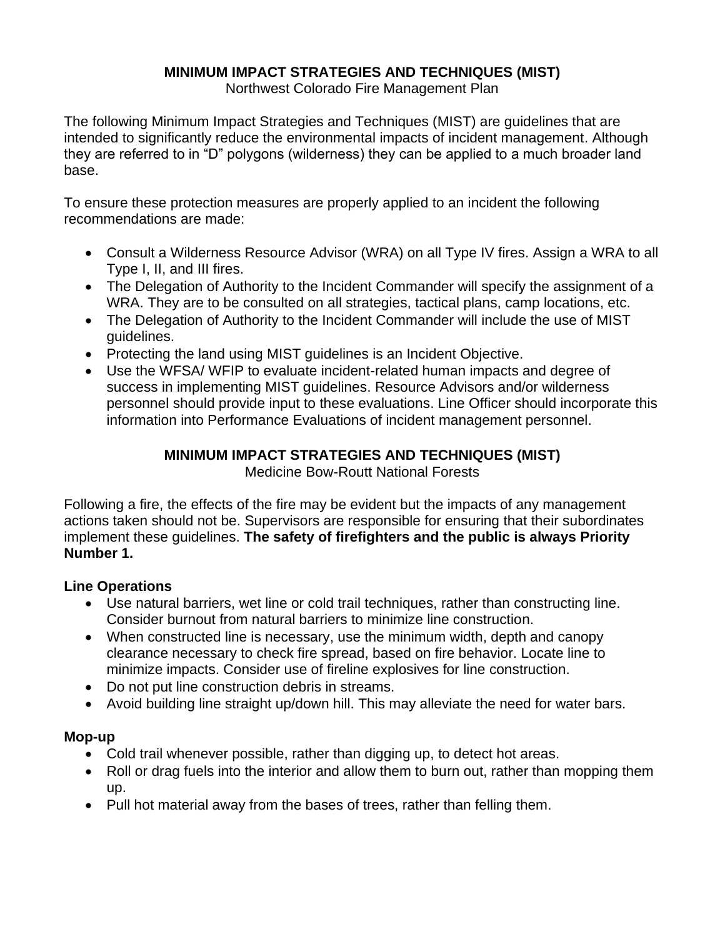### **MINIMUM IMPACT STRATEGIES AND TECHNIQUES (MIST)**

Northwest Colorado Fire Management Plan

The following Minimum Impact Strategies and Techniques (MIST) are guidelines that are intended to significantly reduce the environmental impacts of incident management. Although they are referred to in "D" polygons (wilderness) they can be applied to a much broader land base.

To ensure these protection measures are properly applied to an incident the following recommendations are made:

- Consult a Wilderness Resource Advisor (WRA) on all Type IV fires. Assign a WRA to all Type I, II, and III fires.
- The Delegation of Authority to the Incident Commander will specify the assignment of a WRA. They are to be consulted on all strategies, tactical plans, camp locations, etc.
- The Delegation of Authority to the Incident Commander will include the use of MIST guidelines.
- Protecting the land using MIST guidelines is an Incident Objective.
- Use the WFSA/ WFIP to evaluate incident-related human impacts and degree of success in implementing MIST guidelines. Resource Advisors and/or wilderness personnel should provide input to these evaluations. Line Officer should incorporate this information into Performance Evaluations of incident management personnel.

# **MINIMUM IMPACT STRATEGIES AND TECHNIQUES (MIST)**

Medicine Bow-Routt National Forests

Following a fire, the effects of the fire may be evident but the impacts of any management actions taken should not be. Supervisors are responsible for ensuring that their subordinates implement these guidelines. **The safety of firefighters and the public is always Priority Number 1.**

### **Line Operations**

- Use natural barriers, wet line or cold trail techniques, rather than constructing line. Consider burnout from natural barriers to minimize line construction.
- When constructed line is necessary, use the minimum width, depth and canopy clearance necessary to check fire spread, based on fire behavior. Locate line to minimize impacts. Consider use of fireline explosives for line construction.
- Do not put line construction debris in streams.
- Avoid building line straight up/down hill. This may alleviate the need for water bars.

## **Mop-up**

- Cold trail whenever possible, rather than digging up, to detect hot areas.
- Roll or drag fuels into the interior and allow them to burn out, rather than mopping them up.
- Pull hot material away from the bases of trees, rather than felling them.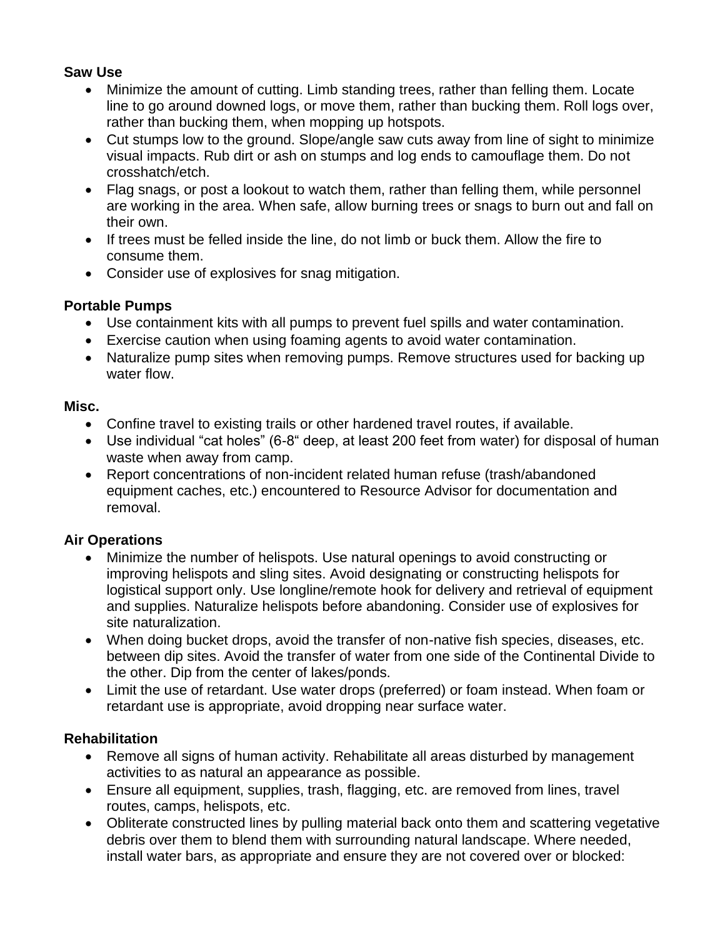#### **Saw Use**

- Minimize the amount of cutting. Limb standing trees, rather than felling them. Locate line to go around downed logs, or move them, rather than bucking them. Roll logs over, rather than bucking them, when mopping up hotspots.
- Cut stumps low to the ground. Slope/angle saw cuts away from line of sight to minimize visual impacts. Rub dirt or ash on stumps and log ends to camouflage them. Do not crosshatch/etch.
- Flag snags, or post a lookout to watch them, rather than felling them, while personnel are working in the area. When safe, allow burning trees or snags to burn out and fall on their own.
- If trees must be felled inside the line, do not limb or buck them. Allow the fire to consume them.
- Consider use of explosives for snag mitigation.

### **Portable Pumps**

- Use containment kits with all pumps to prevent fuel spills and water contamination.
- Exercise caution when using foaming agents to avoid water contamination.
- Naturalize pump sites when removing pumps. Remove structures used for backing up water flow.

#### **Misc.**

- Confine travel to existing trails or other hardened travel routes, if available.
- Use individual "cat holes" (6-8" deep, at least 200 feet from water) for disposal of human waste when away from camp.
- Report concentrations of non-incident related human refuse (trash/abandoned equipment caches, etc.) encountered to Resource Advisor for documentation and removal.

### **Air Operations**

- Minimize the number of helispots. Use natural openings to avoid constructing or improving helispots and sling sites. Avoid designating or constructing helispots for logistical support only. Use longline/remote hook for delivery and retrieval of equipment and supplies. Naturalize helispots before abandoning. Consider use of explosives for site naturalization.
- When doing bucket drops, avoid the transfer of non-native fish species, diseases, etc. between dip sites. Avoid the transfer of water from one side of the Continental Divide to the other. Dip from the center of lakes/ponds.
- Limit the use of retardant. Use water drops (preferred) or foam instead. When foam or retardant use is appropriate, avoid dropping near surface water.

### **Rehabilitation**

- Remove all signs of human activity. Rehabilitate all areas disturbed by management activities to as natural an appearance as possible.
- Ensure all equipment, supplies, trash, flagging, etc. are removed from lines, travel routes, camps, helispots, etc.
- Obliterate constructed lines by pulling material back onto them and scattering vegetative debris over them to blend them with surrounding natural landscape. Where needed, install water bars, as appropriate and ensure they are not covered over or blocked: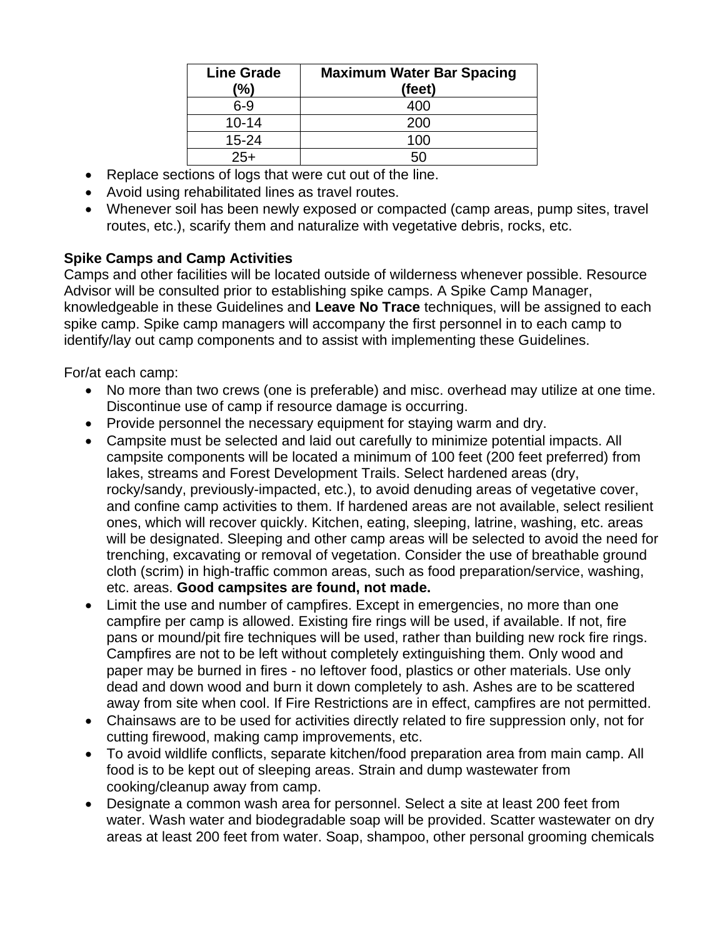| <b>Line Grade</b><br>(%) | <b>Maximum Water Bar Spacing</b><br>(feet) |
|--------------------------|--------------------------------------------|
| $6-9$                    | 400                                        |
| $10 - 14$                | 200                                        |
| $15 - 24$                | 100                                        |
| $25+$                    |                                            |

- Replace sections of logs that were cut out of the line.
- Avoid using rehabilitated lines as travel routes.
- Whenever soil has been newly exposed or compacted (camp areas, pump sites, travel routes, etc.), scarify them and naturalize with vegetative debris, rocks, etc.

### **Spike Camps and Camp Activities**

Camps and other facilities will be located outside of wilderness whenever possible. Resource Advisor will be consulted prior to establishing spike camps. A Spike Camp Manager, knowledgeable in these Guidelines and **Leave No Trace** techniques, will be assigned to each spike camp. Spike camp managers will accompany the first personnel in to each camp to identify/lay out camp components and to assist with implementing these Guidelines.

For/at each camp:

- No more than two crews (one is preferable) and misc. overhead may utilize at one time. Discontinue use of camp if resource damage is occurring.
- Provide personnel the necessary equipment for staying warm and dry.
- Campsite must be selected and laid out carefully to minimize potential impacts. All campsite components will be located a minimum of 100 feet (200 feet preferred) from lakes, streams and Forest Development Trails. Select hardened areas (dry, rocky/sandy, previously-impacted, etc.), to avoid denuding areas of vegetative cover, and confine camp activities to them. If hardened areas are not available, select resilient ones, which will recover quickly. Kitchen, eating, sleeping, latrine, washing, etc. areas will be designated. Sleeping and other camp areas will be selected to avoid the need for trenching, excavating or removal of vegetation. Consider the use of breathable ground cloth (scrim) in high-traffic common areas, such as food preparation/service, washing, etc. areas. **Good campsites are found, not made.**
- Limit the use and number of campfires. Except in emergencies, no more than one campfire per camp is allowed. Existing fire rings will be used, if available. If not, fire pans or mound/pit fire techniques will be used, rather than building new rock fire rings. Campfires are not to be left without completely extinguishing them. Only wood and paper may be burned in fires - no leftover food, plastics or other materials. Use only dead and down wood and burn it down completely to ash. Ashes are to be scattered away from site when cool. If Fire Restrictions are in effect, campfires are not permitted.
- Chainsaws are to be used for activities directly related to fire suppression only, not for cutting firewood, making camp improvements, etc.
- To avoid wildlife conflicts, separate kitchen/food preparation area from main camp. All food is to be kept out of sleeping areas. Strain and dump wastewater from cooking/cleanup away from camp.
- Designate a common wash area for personnel. Select a site at least 200 feet from water. Wash water and biodegradable soap will be provided. Scatter wastewater on dry areas at least 200 feet from water. Soap, shampoo, other personal grooming chemicals